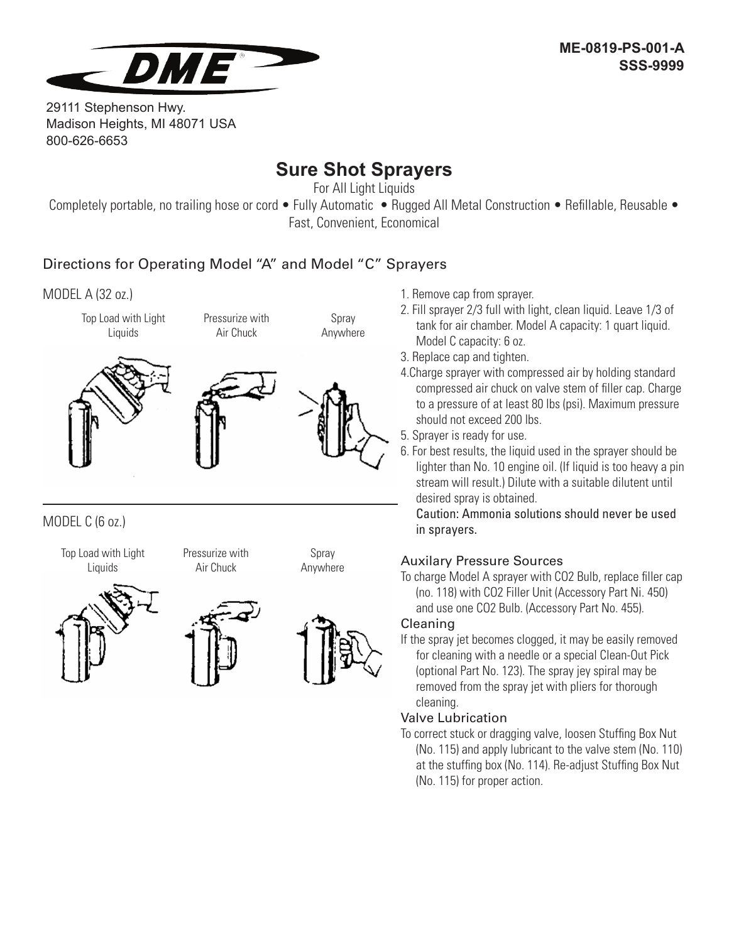

29111 Stephenson Hwy. Madison Heights, MI 48071 USA 800-626-6653

# **Sure Shot Sprayers**

For All Light Liquids

Completely portable, no trailing hose or cord • Fully Automatic • Rugged All Metal Construction • Refillable, Reusable • Fast, Convenient, Economical

### Directions for Operating Model "A" and Model "C" Sprayers

MODEL A (32 oz.)

Top Load with Light Liquids



Air Chuck

Pressurize with



Spray Anywhere

MODEL C (6 oz.)

Top Load with Light Liquids

Pressurize with Air Chuck







- 1. Remove cap from sprayer.
- 2. Fill sprayer 2/3 full with light, clean liquid. Leave 1/3 of tank for air chamber. Model A capacity: 1 quart liquid. Model C capacity: 6 oz.
- 3. Replace cap and tighten.
- 4.Charge sprayer with compressed air by holding standard compressed air chuck on valve stem of filler cap. Charge to a pressure of at least 80 lbs (psi). Maximum pressure should not exceed 200 lbs.
- 5. Sprayer is ready for use.
- 6. For best results, the liquid used in the sprayer should be lighter than No. 10 engine oil. (If liquid is too heavy a pin stream will result.) Dilute with a suitable dilutent until desired spray is obtained.

Caution: Ammonia solutions should never be used in sprayers.

### Auxilary Pressure Sources

To charge Model A sprayer with CO2 Bulb, replace filler cap (no. 118) with CO2 Filler Unit (Accessory Part Ni. 450) and use one CO2 Bulb. (Accessory Part No. 455).

### Cleaning

If the spray jet becomes clogged, it may be easily removed for cleaning with a needle or a special Clean-Out Pick (optional Part No. 123). The spray jey spiral may be removed from the spray jet with pliers for thorough cleaning.

### Valve Lubrication

To correct stuck or dragging valve, loosen Stuffing Box Nut (No. 115) and apply lubricant to the valve stem (No. 110) at the stuffing box (No. 114). Re-adjust Stuffing Box Nut (No. 115) for proper action.